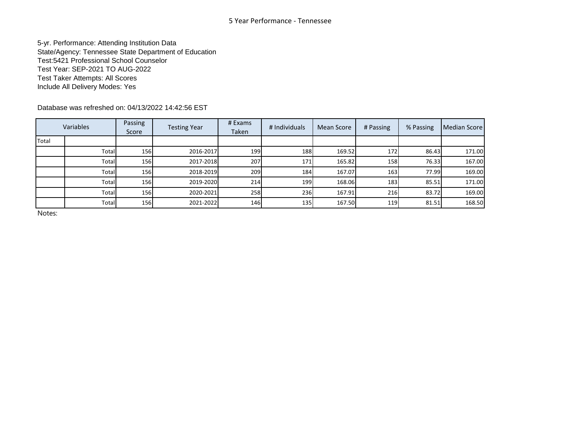5-yr. Performance: Attending Institution Data State/Agency: Tennessee State Department of Education Test:5421 Professional School Counselor Test Year: SEP-2021 TO AUG-2022 Test Taker Attempts: All Scores Include All Delivery Modes: Yes

Database was refreshed on: 04/13/2022 14:42:56 EST

|       | Variables | Passing<br>Score | <b>Testing Year</b> | # Exams<br>Taken | # Individuals | Mean Score | # Passing | % Passing | <b>Median Score</b> |
|-------|-----------|------------------|---------------------|------------------|---------------|------------|-----------|-----------|---------------------|
| Total |           |                  |                     |                  |               |            |           |           |                     |
|       | Total     | 156              | 2016-2017           | 199              | 188           | 169.52     | 172       | 86.43     | 171.00              |
|       | Total     | 156              | 2017-2018           | 207              | <b>171</b>    | 165.82     | 158       | 76.33     | 167.00              |
|       | Total     | <b>156</b>       | 2018-2019           | 209              | 184           | 167.07     | 163       | 77.99     | 169.00              |
|       | Total     | 156              | 2019-2020           | 214              | 199           | 168.06     | 183       | 85.51     | 171.00              |
|       | Total     | 156              | 2020-2021           | 258              | 236           | 167.91     | 216       | 83.72     | 169.00              |
|       | Total     | 156              | 2021-2022           | 146              | 135           | 167.50     | 119       | 81.51     | 168.50              |

Notes: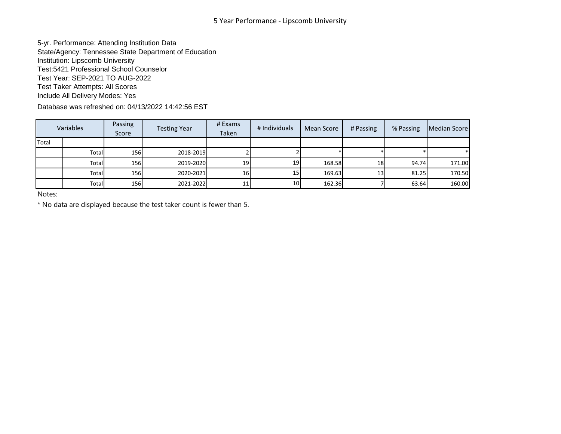5-yr. Performance: Attending Institution Data State/Agency: Tennessee State Department of Education Institution: Lipscomb University Test:5421 Professional School Counselor Test Year: SEP-2021 TO AUG-2022 Test Taker Attempts: All Scores Include All Delivery Modes: Yes

Database was refreshed on: 04/13/2022 14:42:56 EST

| Variables |        | Passing<br>Score | <b>Testing Year</b> | # Exams<br>Taken | # Individuals   | Mean Score | # Passing       | % Passing | Median Score |
|-----------|--------|------------------|---------------------|------------------|-----------------|------------|-----------------|-----------|--------------|
| Total     |        |                  |                     |                  |                 |            |                 |           |              |
|           | Totall | <b>156</b>       | 2018-2019           |                  |                 |            |                 |           |              |
|           | Total  | <b>156</b>       | 2019-2020           | 19               | 19 <sup>l</sup> | 168.58     | 18 <sup>l</sup> | 94.74     | 171.00       |
|           | Totall | <b>156</b>       | 2020-2021           | 16               | 15              | 169.63     | 13 <sup>l</sup> | 81.25     | 170.50       |
|           | Total  | <b>156</b>       | 2021-2022           | 11               | 10 <sup>1</sup> | 162.36     |                 | 63.64     | 160.00       |

Notes:

\* No data are displayed because the test taker count is fewer than 5.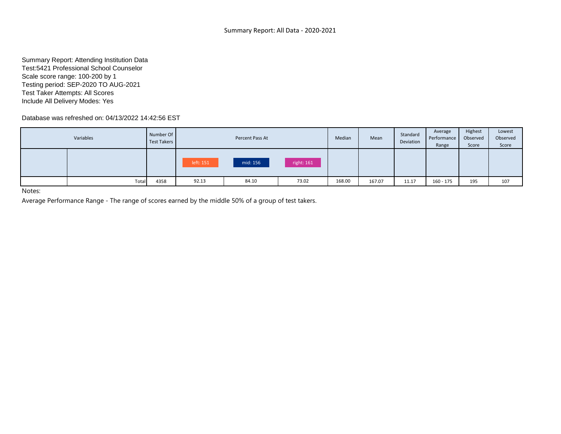Summary Report: Attending Institution Data Test:5421 Professional School Counselor Scale score range: 100-200 by 1 Testing period: SEP-2020 TO AUG-2021 Test Taker Attempts: All Scores Include All Delivery Modes: Yes

Database was refreshed on: 04/13/2022 14:42:56 EST

| Variables | Number Of<br>Test Takers |          | Percent Pass At |       | Median | Mean   | Standard<br>Deviation | Average<br>Performance<br>Range | Highest<br>Observed<br>Score | Lowest<br>Observed<br>Score |
|-----------|--------------------------|----------|-----------------|-------|--------|--------|-----------------------|---------------------------------|------------------------------|-----------------------------|
| left: 151 |                          | mid: 156 | right: 161      |       |        |        |                       |                                 |                              |                             |
| Total     | 4358                     | 92.13    | 84.10           | 73.02 | 168.00 | 167.07 | 11.17                 | $160 - 175$                     | 195                          | 107                         |

Notes:

Average Performance Range - The range of scores earned by the middle 50% of a group of test takers.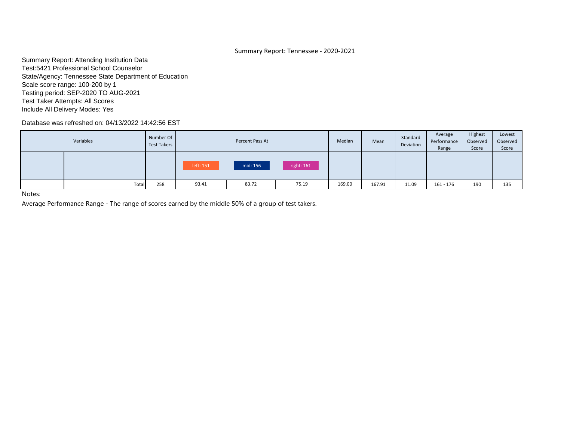# Summary Report: Tennessee - 2020-2021

Summary Report: Attending Institution Data Test:5421 Professional School Counselor State/Agency: Tennessee State Department of Education Scale score range: 100-200 by 1 Testing period: SEP-2020 TO AUG-2021 Test Taker Attempts: All Scores Include All Delivery Modes: Yes

Database was refreshed on: 04/13/2022 14:42:56 EST

| Variables | Number Of<br>Test Takers |           | Percent Pass At |            | Median | Mean   | Standard<br>Deviation | Average<br>Performance<br>Range | Highest<br>Observed<br>Score | Lowest<br>Observed<br>Score |
|-----------|--------------------------|-----------|-----------------|------------|--------|--------|-----------------------|---------------------------------|------------------------------|-----------------------------|
|           |                          | left: 151 | mid: 156        | right: 161 |        |        |                       |                                 |                              |                             |
| Total     | 258                      | 93.41     | 83.72           | 75.19      | 169.00 | 167.91 | 11.09                 | $161 - 176$                     | 190                          | 135                         |

Notes:

Average Performance Range - The range of scores earned by the middle 50% of a group of test takers.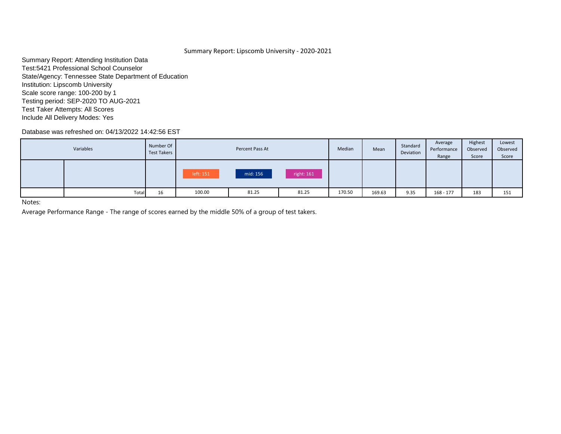# Summary Report: Lipscomb University - 2020-2021

Summary Report: Attending Institution Data Test:5421 Professional School Counselor State/Agency: Tennessee State Department of Education Institution: Lipscomb University Scale score range: 100-200 by 1 Testing period: SEP-2020 TO AUG-2021 Test Taker Attempts: All Scores Include All Delivery Modes: Yes

Database was refreshed on: 04/13/2022 14:42:56 EST

| Variables | Number Of<br>Test Takers |           | Percent Pass At |       | Median | Mean   | Standard<br>Deviation | Average<br>Performance<br>Range | Highest<br>Observed<br>Score | Lowest<br>Observed<br>Score |
|-----------|--------------------------|-----------|-----------------|-------|--------|--------|-----------------------|---------------------------------|------------------------------|-----------------------------|
|           |                          | left: 151 | mid: 156        |       |        |        |                       |                                 |                              |                             |
| Total     | 16                       | 100.00    | 81.25           | 81.25 | 170.50 | 169.63 | 9.35                  | $168 - 177$                     | 183                          | 151                         |

Notes:

Average Performance Range - The range of scores earned by the middle 50% of a group of test takers.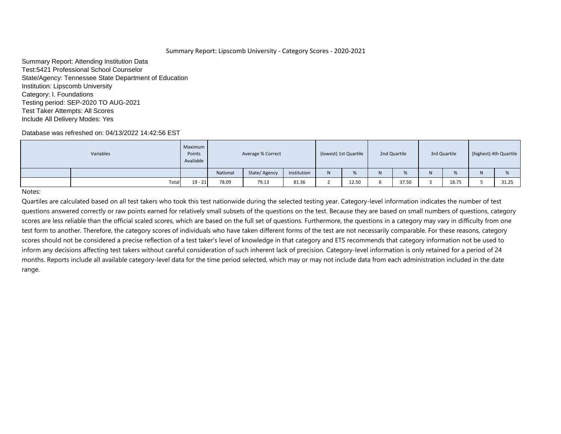Summary Report: Attending Institution Data Test:5421 Professional School Counselor State/Agency: Tennessee State Department of Education Institution: Lipscomb University Category: I. Foundations Testing period: SEP-2020 TO AUG-2021 Test Taker Attempts: All Scores Include All Delivery Modes: Yes

# Database was refreshed on: 04/13/2022 14:42:56 EST

| Variables |       | Maximum<br>Points<br>Available |          | Average % Correct |             | (lowest) 1st Quartile        |       | 2nd Quartile |       | 3rd Quartile |       | (highest) 4th Quartile |       |
|-----------|-------|--------------------------------|----------|-------------------|-------------|------------------------------|-------|--------------|-------|--------------|-------|------------------------|-------|
|           |       |                                | National | State/Agency      | Institution | $\mathbf{M}$<br>$\mathbf{N}$ |       | N            | %     | N            | %     |                        | %     |
|           | Total | $19 - 21$                      | 78.09    | 79.13             | 81.36       |                              | 12.50 |              | 37.50 |              | 18.75 |                        | 31.25 |

Notes: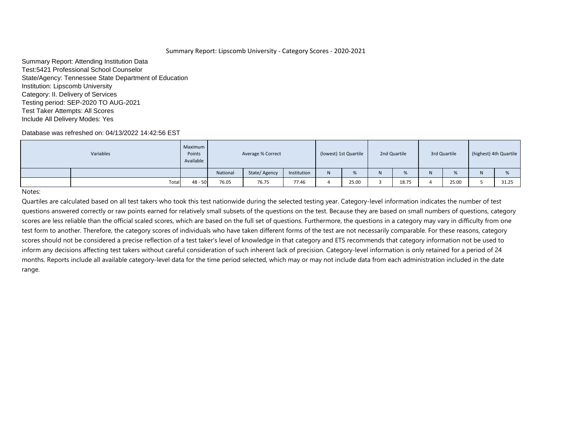Summary Report: Attending Institution Data Test:5421 Professional School Counselor State/Agency: Tennessee State Department of Education Institution: Lipscomb University Category: II. Delivery of Services Testing period: SEP-2020 TO AUG-2021 Test Taker Attempts: All Scores Include All Delivery Modes: Yes

# Database was refreshed on: 04/13/2022 14:42:56 EST

| Variables |       | Maximum<br>Points<br>Available |          | Average % Correct |             | (lowest) 1st Quartile        |       | 2nd Quartile |                  | 3rd Quartile |       | (highest) 4th Quartile |       |
|-----------|-------|--------------------------------|----------|-------------------|-------------|------------------------------|-------|--------------|------------------|--------------|-------|------------------------|-------|
|           |       |                                | National | State/Agency      | Institution | $\mathbf{M}$<br>$\mathbf{N}$ |       | N            | $O_{\mathbb{A}}$ | N            | %     |                        | %     |
|           | Total | $48 - 50$                      | 76.05    | 76.75             | 77.46       |                              | 25.00 |              | 18.75            |              | 25.00 |                        | 31.25 |

Notes: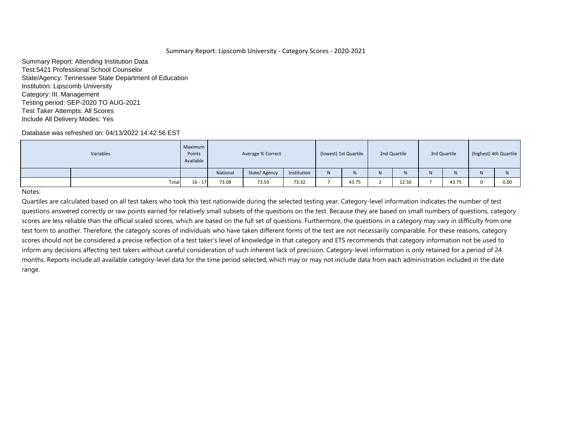Summary Report: Attending Institution Data Test:5421 Professional School Counselor State/Agency: Tennessee State Department of Education Institution: Lipscomb University Category: III. Management Testing period: SEP-2020 TO AUG-2021 Test Taker Attempts: All Scores Include All Delivery Modes: Yes

# Database was refreshed on: 04/13/2022 14:42:56 EST

| Variables |       | Maximum<br>Points<br>Available |          | Average % Correct |             | (lowest) 1st Quartile        |       | 2nd Quartile |       | 3rd Quartile |       | (highest) 4th Quartile |      |
|-----------|-------|--------------------------------|----------|-------------------|-------------|------------------------------|-------|--------------|-------|--------------|-------|------------------------|------|
|           |       |                                | National | State/Agency      | Institution | $\mathbf{M}$<br>$\mathbf{N}$ |       | N.           | %     | N            | %     |                        | %    |
|           | Total | $16 - 17$                      | 73.08    | 73.59             | 73.32       |                              | 43.75 |              | 12.50 |              | 43.75 |                        | 0.00 |

Notes: